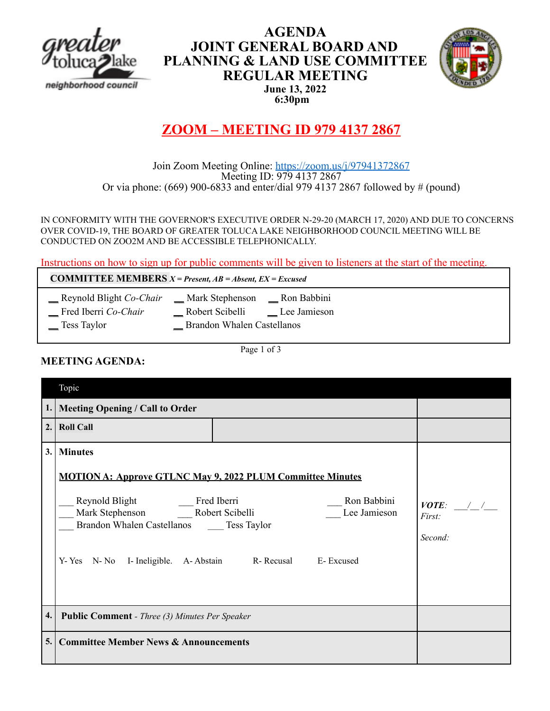

# **AGENDA JOINT GENERAL BOARD AND PLANNING & LAND USE COMMITTEE REGULAR MEETING June 13, 2022 6:30pm**



# **ZOOM – MEETING ID 979 4137 2867**

### Join Zoom Meeting Online: https://zoom.us/j/97941372867 Meeting ID: 979 4137 2867 Or via phone: (669) 900-6833 and enter/dial 979 4137 2867 followed by # (pound)

IN CONFORMITY WITH THE GOVERNOR'S EXECUTIVE ORDER N-29-20 (MARCH 17, 2020) AND DUE TO CONCERNS OVER COVID-19, THE BOARD OF GREATER TOLUCA LAKE NEIGHBORHOOD COUNCIL MEETING WILL BE CONDUCTED ON ZOO2M AND BE ACCESSIBLE TELEPHONICALLY.

Instructions on how to sign up for public comments will be given to listeners at the start of the meeting.

**COMMITTEE MEMBERS** *X = Present, AB = Absent, EX = Excused*

- \_\_ Reynold Blight *Co-Chair* \_\_ Mark Stephenson \_\_ Ron Babbini
	- \_\_ Fred Iberri *Co-Chair* \_\_ Robert Scibelli \_\_ Lee Jamieson
	-

Tess Taylor **Brandon Whalen Castellanos** 

Page 1 of 3

# **MEETING AGENDA:**

|     | Topic                                                                                                                                                                                                                                                           |                                  |
|-----|-----------------------------------------------------------------------------------------------------------------------------------------------------------------------------------------------------------------------------------------------------------------|----------------------------------|
|     | 1.   Meeting Opening / Call to Order                                                                                                                                                                                                                            |                                  |
| 2.1 | <b>Roll Call</b>                                                                                                                                                                                                                                                |                                  |
| 3.  | <b>Minutes</b><br><b>MOTION A: Approve GTLNC May 9, 2022 PLUM Committee Minutes</b><br>Ron Babbini<br>Mark Stephenson Robert Scibelli<br>Lee Jamieson<br>Brandon Whalen Castellanos Tess Taylor<br>R-Recusal<br>Y-Yes N-No I-Ineligible. A-Abstain<br>E-Excused | $VOTE:$ / /<br>First:<br>Second: |
| 4.  | <b>Public Comment</b> - Three (3) Minutes Per Speaker                                                                                                                                                                                                           |                                  |
| 5.  | <b>Committee Member News &amp; Announcements</b>                                                                                                                                                                                                                |                                  |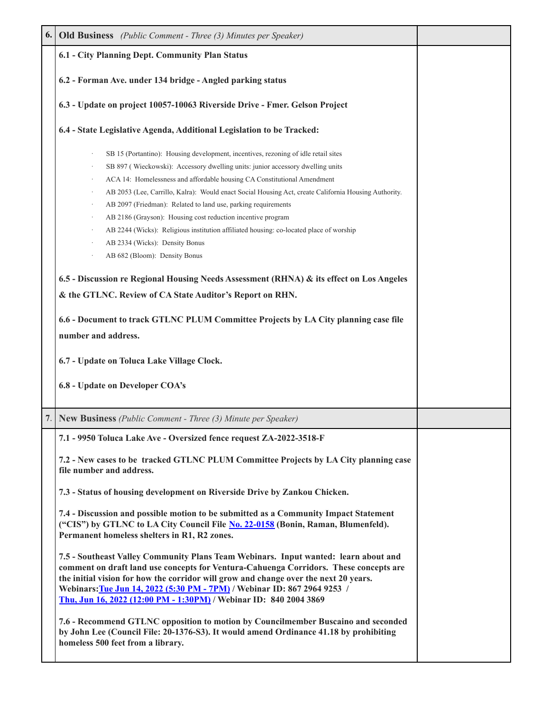| 6. | <b>Old Business</b> (Public Comment - Three (3) Minutes per Speaker)                                                                                                                                                                                                                                                                                                                                                                                                                                                                                                                                                                                 |  |
|----|------------------------------------------------------------------------------------------------------------------------------------------------------------------------------------------------------------------------------------------------------------------------------------------------------------------------------------------------------------------------------------------------------------------------------------------------------------------------------------------------------------------------------------------------------------------------------------------------------------------------------------------------------|--|
|    | 6.1 - City Planning Dept. Community Plan Status                                                                                                                                                                                                                                                                                                                                                                                                                                                                                                                                                                                                      |  |
|    | 6.2 - Forman Ave. under 134 bridge - Angled parking status                                                                                                                                                                                                                                                                                                                                                                                                                                                                                                                                                                                           |  |
|    | 6.3 - Update on project 10057-10063 Riverside Drive - Fmer. Gelson Project                                                                                                                                                                                                                                                                                                                                                                                                                                                                                                                                                                           |  |
|    | 6.4 - State Legislative Agenda, Additional Legislation to be Tracked:                                                                                                                                                                                                                                                                                                                                                                                                                                                                                                                                                                                |  |
|    | SB 15 (Portantino): Housing development, incentives, rezoning of idle retail sites<br>SB 897 (Wieckowski): Accessory dwelling units: junior accessory dwelling units<br>ACA 14: Homelessness and affordable housing CA Constitutional Amendment<br>AB 2053 (Lee, Carrillo, Kalra): Would enact Social Housing Act, create California Housing Authority.<br>AB 2097 (Friedman): Related to land use, parking requirements<br>AB 2186 (Grayson): Housing cost reduction incentive program<br>AB 2244 (Wicks): Religious institution affiliated housing: co-located place of worship<br>AB 2334 (Wicks): Density Bonus<br>AB 682 (Bloom): Density Bonus |  |
|    | 6.5 - Discussion re Regional Housing Needs Assessment (RHNA) & its effect on Los Angeles<br>& the GTLNC. Review of CA State Auditor's Report on RHN.<br>6.6 - Document to track GTLNC PLUM Committee Projects by LA City planning case file<br>number and address.<br>6.7 - Update on Toluca Lake Village Clock.                                                                                                                                                                                                                                                                                                                                     |  |
|    | 6.8 - Update on Developer COA's                                                                                                                                                                                                                                                                                                                                                                                                                                                                                                                                                                                                                      |  |
| 7. | New Business (Public Comment - Three (3) Minute per Speaker)                                                                                                                                                                                                                                                                                                                                                                                                                                                                                                                                                                                         |  |
|    | 7.1 - 9950 Toluca Lake Ave - Oversized fence request ZA-2022-3518-F                                                                                                                                                                                                                                                                                                                                                                                                                                                                                                                                                                                  |  |
|    | 7.2 - New cases to be tracked GTLNC PLUM Committee Projects by LA City planning case<br>file number and address.                                                                                                                                                                                                                                                                                                                                                                                                                                                                                                                                     |  |
|    | 7.3 - Status of housing development on Riverside Drive by Zankou Chicken.                                                                                                                                                                                                                                                                                                                                                                                                                                                                                                                                                                            |  |
|    | 7.4 - Discussion and possible motion to be submitted as a Community Impact Statement<br>("CIS") by GTLNC to LA City Council File No. 22-0158 (Bonin, Raman, Blumenfeld).<br>Permanent homeless shelters in R1, R2 zones.                                                                                                                                                                                                                                                                                                                                                                                                                             |  |
|    | 7.5 - Southeast Valley Community Plans Team Webinars. Input wanted: learn about and<br>comment on draft land use concepts for Ventura-Cahuenga Corridors. These concepts are<br>the initial vision for how the corridor will grow and change over the next 20 years.<br>Webinars: Tue Jun 14, 2022 (5:30 PM - 7PM) / Webinar ID: 867 2964 9253 /<br>Thu, Jun 16, 2022 (12:00 PM - 1:30PM) / Webinar ID: 840 2004 3869                                                                                                                                                                                                                                |  |
|    | 7.6 - Recommend GTLNC opposition to motion by Councilmember Buscaino and seconded<br>by John Lee (Council File: 20-1376-S3). It would amend Ordinance 41.18 by prohibiting<br>homeless 500 feet from a library.                                                                                                                                                                                                                                                                                                                                                                                                                                      |  |